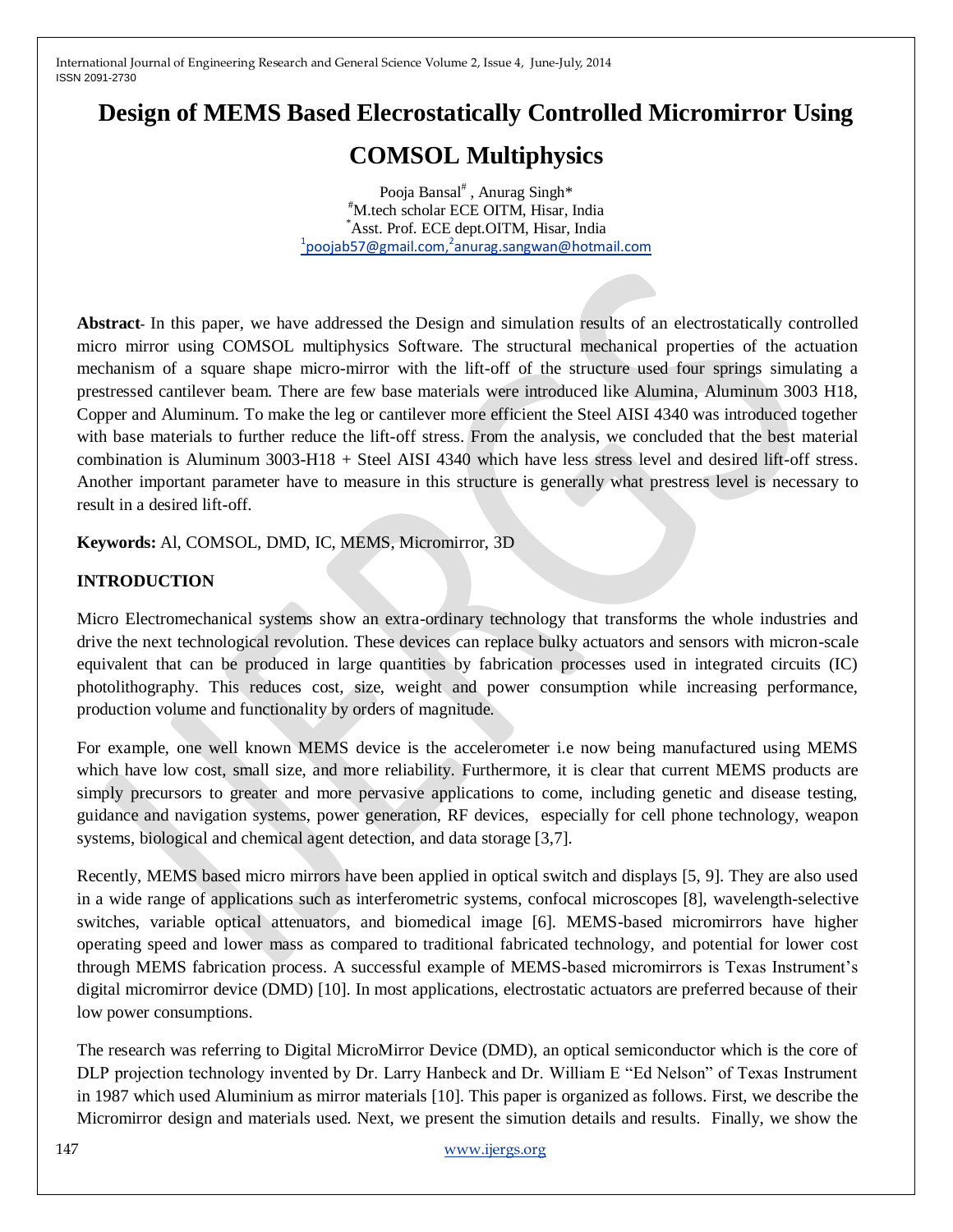## **Design of MEMS Based Elecrostatically Controlled Micromirror Using**

# **COMSOL Multiphysics**

Pooja Bansal<sup>#</sup>, Anurag Singh\* #M.tech scholar ECE OITM, Hisar, India \*Asst. Prof. ECE dept.OITM, Hisar, India <sup>1</sup> poojab 57@gmail.com, <sup>2</sup> anurag.sang wan@hotmail.com

**Abstract***-* In this paper, we have addressed the Design and simulation results of an electrostatically controlled micro mirror using COMSOL multiphysics Software. The structural mechanical properties of the actuation mechanism of a square shape micro-mirror with the lift-off of the structure used four springs simulating a prestressed cantilever beam. There are few base materials were introduced like Alumina, Aluminum 3003 H18, Copper and Aluminum. To make the leg or cantilever more efficient the Steel AISI 4340 was introduced together with base materials to further reduce the lift-off stress. From the analysis, we concluded that the best material combination is Aluminum 3003-H18 + Steel AISI 4340 which have less stress level and desired lift-off stress. Another important parameter have to measure in this structure is generally what prestress level is necessary to result in a desired lift-off.

**Keywords:** Al, COMSOL, DMD, IC, MEMS, Micromirror, 3D

## **INTRODUCTION**

Micro Electromechanical systems show an extra-ordinary technology that transforms the whole industries and drive the next technological revolution. These devices can replace bulky actuators and sensors with micron-scale equivalent that can be produced in large quantities by fabrication processes used in integrated circuits (IC) photolithography. This reduces cost, size, weight and power consumption while increasing performance, production volume and functionality by orders of magnitude.

For example, one well known MEMS device is the accelerometer i.e now being manufactured using MEMS which have low cost, small size, and more reliability. Furthermore, it is clear that current MEMS products are simply precursors to greater and more pervasive applications to come, including genetic and disease testing, guidance and navigation systems, power generation, RF devices, especially for cell phone technology, weapon systems, biological and chemical agent detection, and data storage [3,7].

Recently, MEMS based micro mirrors have been applied in optical switch and displays [5, 9]. They are also used in a wide range of applications such as interferometric systems, confocal microscopes [8], wavelength-selective switches, variable optical attenuators, and biomedical image [6]. MEMS-based micromirrors have higher operating speed and lower mass as compared to traditional fabricated technology, and potential for lower cost through MEMS fabrication process. A successful example of MEMS-based micromirrors is Texas Instrument's digital micromirror device (DMD) [10]. In most applications, electrostatic actuators are preferred because of their low power consumptions.

The research was referring to Digital MicroMirror Device (DMD), an optical semiconductor which is the core of DLP projection technology invented by Dr. Larry Hanbeck and Dr. William E "Ed Nelson" of Texas Instrument in 1987 which used Aluminium as mirror materials [10]. This paper is organized as follows. First, we describe the Micromirror design and materials used. Next, we present the simution details and results. Finally, we show the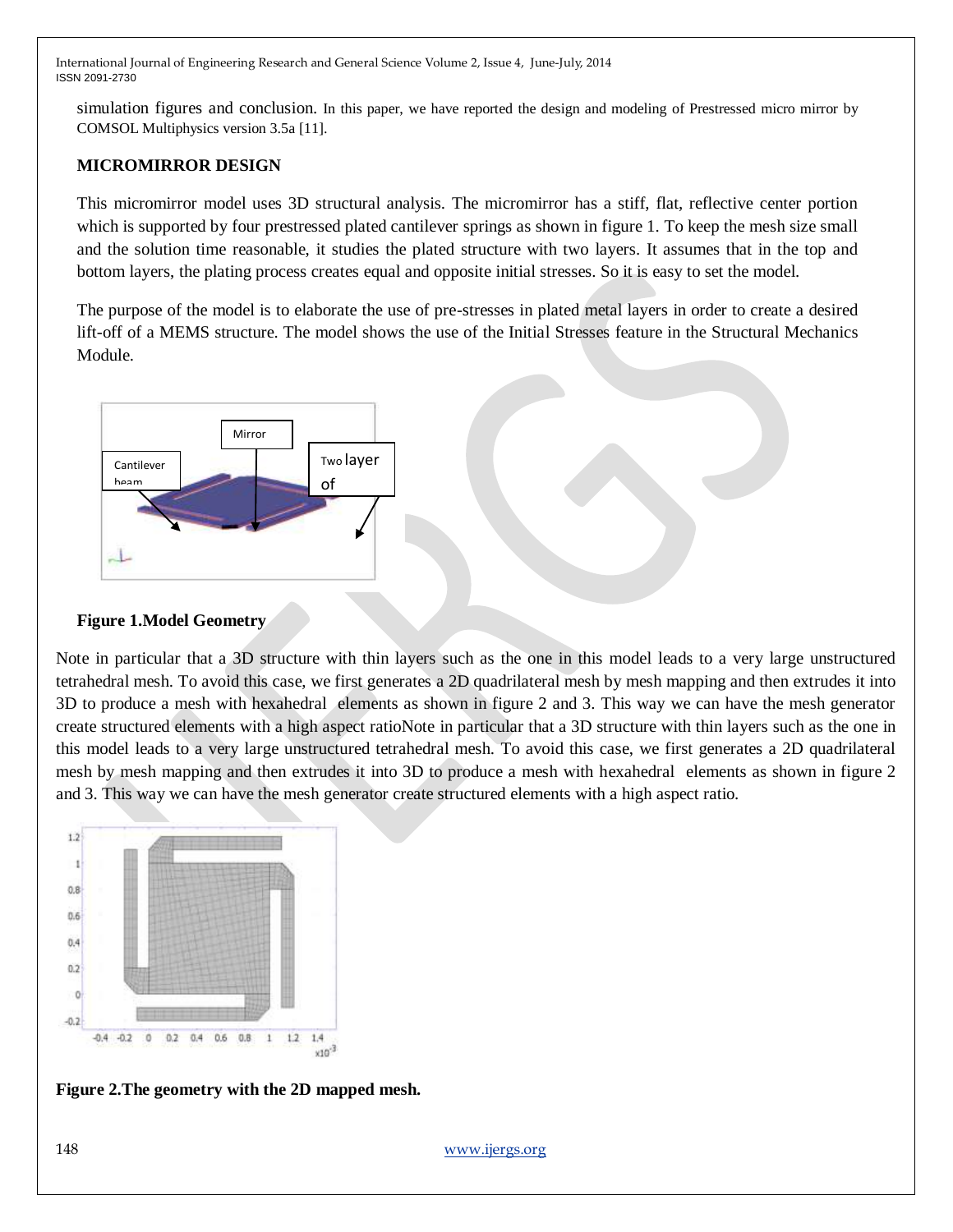simulation figures and conclusion. In this paper, we have reported the design and modeling of Prestressed micro mirror by COMSOL Multiphysics version 3.5a [11].

## **MICROMIRROR DESIGN**

This micromirror model uses 3D structural analysis. The micromirror has a stiff, flat, reflective center portion which is supported by four prestressed plated cantilever springs as shown in figure 1. To keep the mesh size small and the solution time reasonable, it studies the plated structure with two layers. It assumes that in the top and bottom layers, the plating process creates equal and opposite initial stresses. So it is easy to set the model.

The purpose of the model is to elaborate the use of pre-stresses in plated metal layers in order to create a desired lift-off of a MEMS structure. The model shows the use of the Initial Stresses feature in the Structural Mechanics Module.



#### **Figure 1.Model Geometry**

Note in particular that a 3D structure with thin layers such as the one in this model leads to a very large unstructured tetrahedral mesh. To avoid this case, we first generates a 2D quadrilateral mesh by mesh mapping and then extrudes it into 3D to produce a mesh with hexahedral elements as shown in figure 2 and 3. This way we can have the mesh generator create structured elements with a high aspect ratioNote in particular that a 3D structure with thin layers such as the one in this model leads to a very large unstructured tetrahedral mesh. To avoid this case, we first generates a 2D quadrilateral mesh by mesh mapping and then extrudes it into 3D to produce a mesh with hexahedral elements as shown in figure 2 and 3. This way we can have the mesh generator create structured elements with a high aspect ratio.



**Figure 2.The geometry with the 2D mapped mesh.**

148 [www.ijergs.org](http://www.ijergs.org/)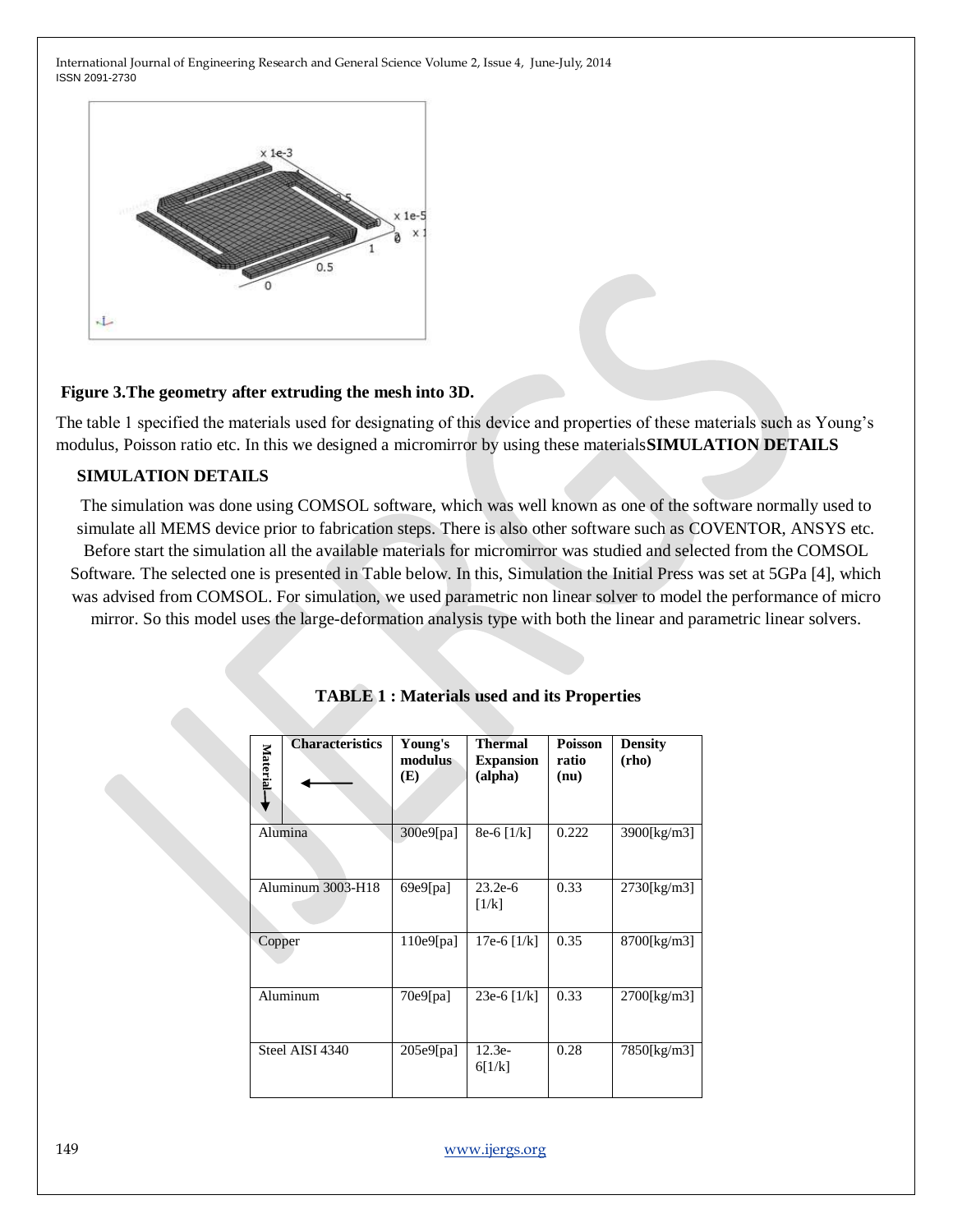

#### **Figure 3.The geometry after extruding the mesh into 3D.**

The table 1 specified the materials used for designating of this device and properties of these materials such as Young's modulus, Poisson ratio etc. In this we designed a micromirror by using these materials**SIMULATION DETAILS**

#### **SIMULATION DETAILS**

The simulation was done using COMSOL software, which was well known as one of the software normally used to simulate all MEMS device prior to fabrication steps. There is also other software such as COVENTOR, ANSYS etc.

Before start the simulation all the available materials for micromirror was studied and selected from the COMSOL Software. The selected one is presented in Table below. In this, Simulation the Initial Press was set at 5GPa [4], which was advised from COMSOL. For simulation, we used parametric non linear solver to model the performance of micro mirror. So this model uses the large-deformation analysis type with both the linear and parametric linear solvers.

| <b>Characteristics</b><br>Material- | Young's<br>modulus<br>(E) | <b>Thermal</b><br><b>Expansion</b><br>(alpha) | <b>Poisson</b><br>ratio<br>(nu) | <b>Density</b><br>(rho) |
|-------------------------------------|---------------------------|-----------------------------------------------|---------------------------------|-------------------------|
| Alumina                             | 300e9[pa]                 | $8e-6$ [1/k]                                  | 0.222                           | 3900[kg/m3]             |
| Aluminum 3003-H18                   | 69e9[pa]                  | $23.2e-6$<br>[1/k]                            | 0.33                            | $2730$ [kg/m3]          |
| Copper                              | 110e9[pa]                 | 17e-6 $[1/k]$                                 | 0.35                            | 8700[kg/m3]             |
| Aluminum                            | 70e9[pa]                  | 23e-6 $[1/k]$                                 | 0.33                            | 2700[kg/m3]             |
| Steel AISI 4340                     | 205e9[pa]                 | $12.3e-$<br>6[1/k]                            | 0.28                            | 7850[kg/m3]             |

**TABLE 1 : Materials used and its Properties**

149 [www.ijergs.org](http://www.ijergs.org/)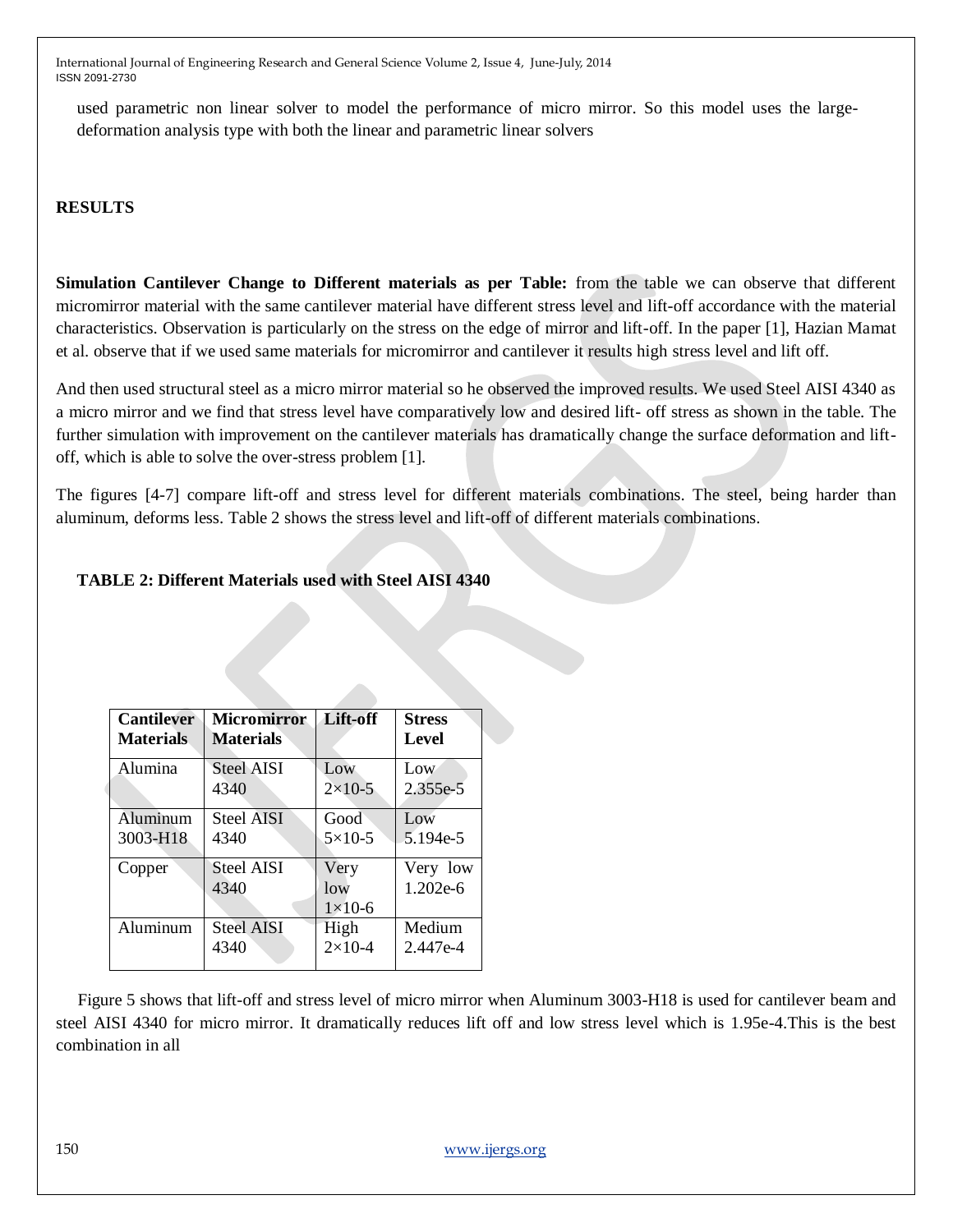used parametric non linear solver to model the performance of micro mirror. So this model uses the largedeformation analysis type with both the linear and parametric linear solvers

## **RESULTS**

**Simulation Cantilever Change to Different materials as per Table:** from the table we can observe that different micromirror material with the same cantilever material have different stress level and lift-off accordance with the material characteristics. Observation is particularly on the stress on the edge of mirror and lift-off. In the paper [1], Hazian Mamat et al. observe that if we used same materials for micromirror and cantilever it results high stress level and lift off.

And then used structural steel as a micro mirror material so he observed the improved results. We used Steel AISI 4340 as a micro mirror and we find that stress level have comparatively low and desired lift- off stress as shown in the table. The further simulation with improvement on the cantilever materials has dramatically change the surface deformation and liftoff, which is able to solve the over-stress problem [1].

The figures [4-7] compare lift-off and stress level for different materials combinations. The steel, being harder than aluminum, deforms less. Table 2 shows the stress level and lift-off of different materials combinations.

## **TABLE 2: Different Materials used with Steel AISI 4340**

| <b>Cantilever</b> | <b>Micromirror</b>        | Lift-off                     | <b>Stress</b>        |
|-------------------|---------------------------|------------------------------|----------------------|
| <b>Materials</b>  | <b>Materials</b>          |                              | Level                |
| Alumina           | <b>Steel AISI</b>         | Low                          | Low                  |
|                   | 4340                      | $2 \times 10 - 5$            | 2.355e-5             |
| Aluminum          | <b>Steel AISI</b>         | Good                         | Low                  |
| 3003-H18          | 4340                      | $5\times10-5$                | 5.194e-5             |
| Copper            | <b>Steel AISI</b><br>4340 | Very<br>low<br>$1\times10-6$ | Very low<br>1.202e-6 |
| Aluminum          | <b>Steel AISI</b>         | High                         | Medium               |
|                   | 4340                      | $2 \times 10 - 4$            | 2.447e-4             |

 Figure 5 shows that lift-off and stress level of micro mirror when Aluminum 3003-H18 is used for cantilever beam and steel AISI 4340 for micro mirror. It dramatically reduces lift off and low stress level which is 1.95e-4.This is the best combination in all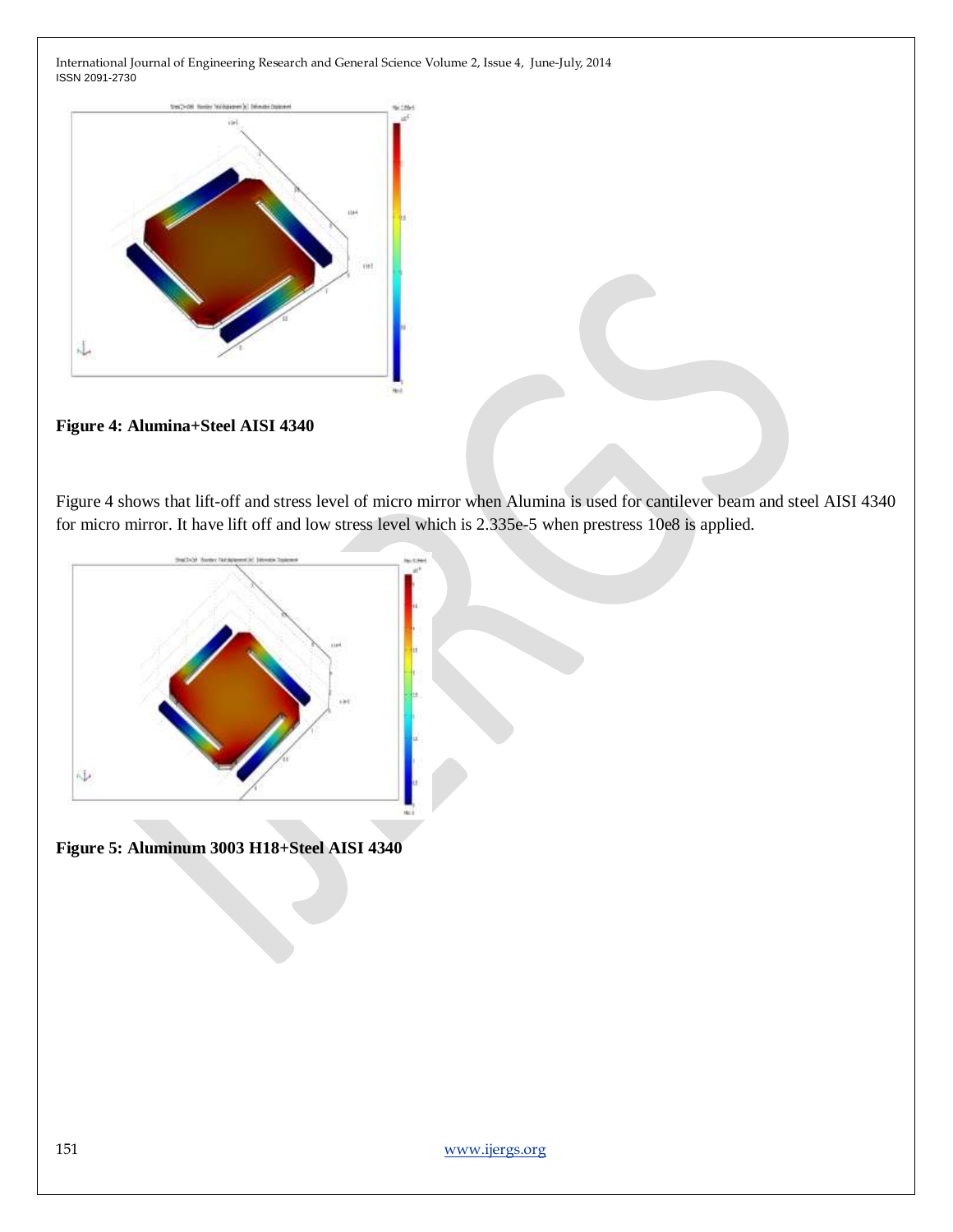

**Figure 4: Alumina+Steel AISI 4340**

Figure 4 shows that lift-off and stress level of micro mirror when Alumina is used for cantilever beam and steel AISI 4340 for micro mirror. It have lift off and low stress level which is 2.335e-5 when prestress 10e8 is applied.



**Figure 5: Aluminum 3003 H18+Steel AISI 4340**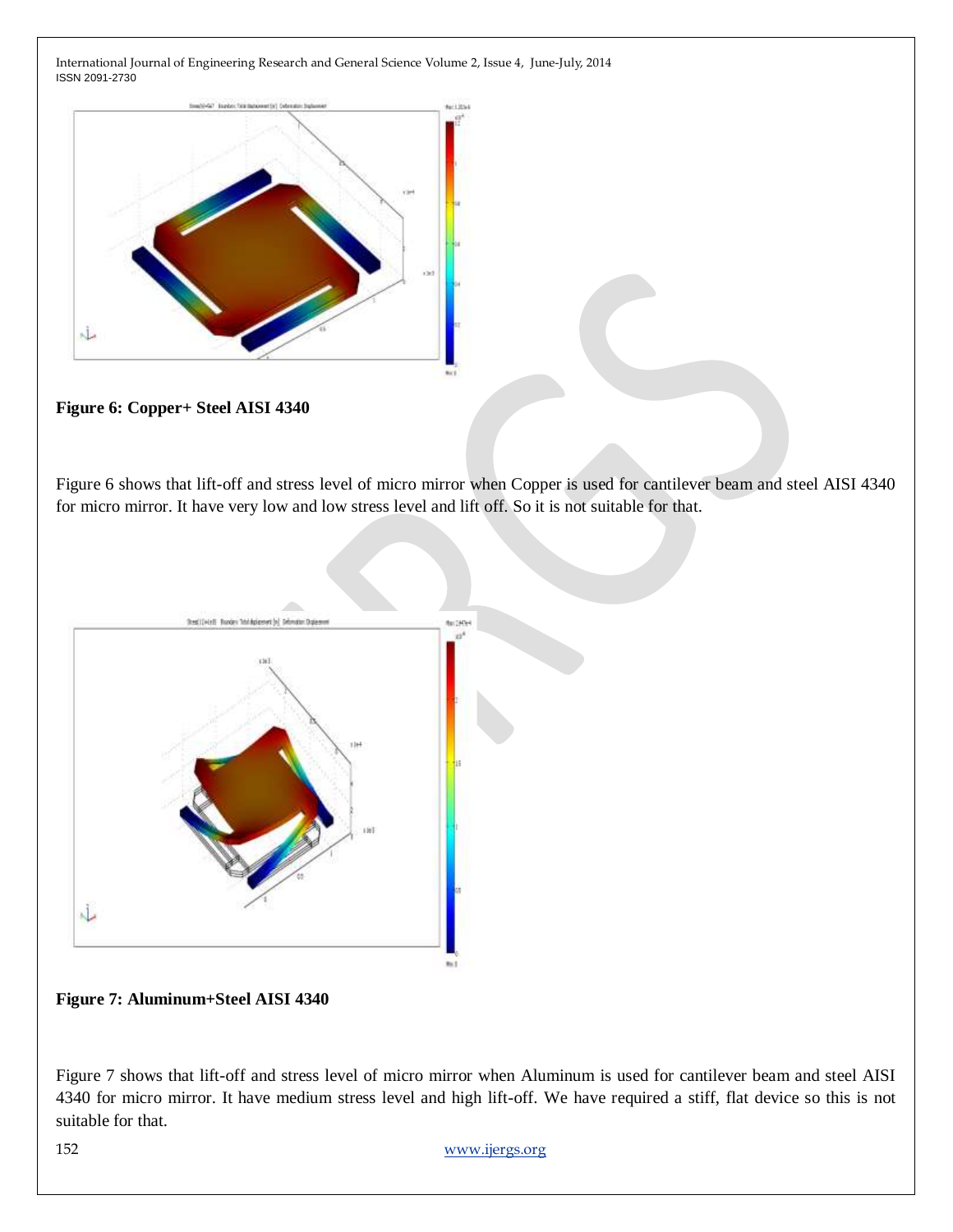

**Figure 6: Copper+ Steel AISI 4340**

Figure 6 shows that lift-off and stress level of micro mirror when Copper is used for cantilever beam and steel AISI 4340 for micro mirror. It have very low and low stress level and lift off. So it is not suitable for that.



**Figure 7: Aluminum+Steel AISI 4340**

Figure 7 shows that lift-off and stress level of micro mirror when Aluminum is used for cantilever beam and steel AISI 4340 for micro mirror. It have medium stress level and high lift-off. We have required a stiff, flat device so this is not suitable for that.

152 [www.ijergs.org](http://www.ijergs.org/)